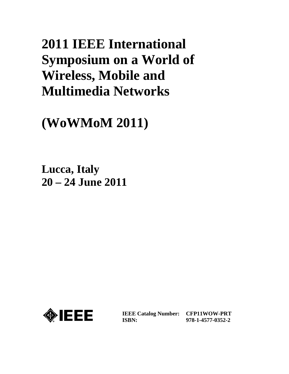# **2011 IEEE International Symposium on a World of Wireless, Mobile and Multimedia Networks**

## **(WoWMoM 2011)**

**Lucca, Italy 20 – 24 June 2011**



**IEEE Catalog Number: CFP11WOW-PRT ISBN:** 

**978-1-4577-0352-2**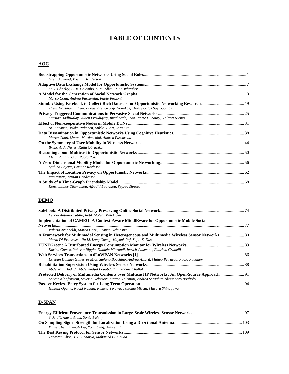## **TABLE OF CONTENTS**

## **AOC**

| Greg Bigwood, Tristan Henderson                                                        |  |
|----------------------------------------------------------------------------------------|--|
|                                                                                        |  |
| M. J. Chorley, G. B. Colombo, S. M. Allen, R. M. Whitaker                              |  |
|                                                                                        |  |
| Marco Conti, Andrea Passarella, Fabio Pezzoni                                          |  |
|                                                                                        |  |
| Theus Hossmann, Franck Legendre, George Nomikos, Thrasyvoulos Spyropoulos              |  |
|                                                                                        |  |
| Murtuza Jadliwalay, Julien Freudigery, Imad Aadz, Jean-Pierre Hubauxy, Valtteri Niemiz |  |
|                                                                                        |  |
| Ari Keränen, Mikko Pitkänen, Mikko Vuori, Jörg Ott                                     |  |
|                                                                                        |  |
| Marco Conti, Matteo Mordacchini, Andrea Passarella                                     |  |
|                                                                                        |  |
| Bruno A. A. Nunes, Katia Obraczka                                                      |  |
|                                                                                        |  |
| Elena Pagani, Gian Paolo Rossi                                                         |  |
|                                                                                        |  |
| Ljubica Pajevic, Gunnar Karlsson                                                       |  |
|                                                                                        |  |
| Iain Parris, Tristan Henderson                                                         |  |
|                                                                                        |  |
| Konstantinos Oikonomou, Afroditi Loukidou, Spyros Sioutas                              |  |

## **DEMO**

| Leucio Antonio Cutillo, Refik Molva, Melek Önen                                                 |  |
|-------------------------------------------------------------------------------------------------|--|
| Implementation of CAMEO: A Context-Aware MiddlEware for Opportunistic Mobile Social             |  |
|                                                                                                 |  |
| Valerio Arnaboldi, Marco Conti, Franca Delmastro                                                |  |
|                                                                                                 |  |
| Mario Di Francesco, Na Li, Long Cheng, Mayank Raj, Sajal K. Das                                 |  |
| Karina Gomez, Roberto Riggio, Daniele Miorandi, Imrich Chlamtac, Fabrizio Granelli              |  |
|                                                                                                 |  |
| Esteban Damian Gutierrez Mlot, Stefano Bocchino, Andrea Azzarà, Matteo Petracca, Paolo Paganov  |  |
|                                                                                                 |  |
| Abdelkrim Hadjidj, Abdelmadjid Bouabdallah, Yacine Challal                                      |  |
|                                                                                                 |  |
| Lorenz Klopfenstein, Saverio Delpriori, Matteo Valentini, Andrea Seraghiti, Alessandro Bogliolo |  |
|                                                                                                 |  |
| Hisashi Oguma, Naoki Nobata, Kazunari Nawa, Tsutomu Mizota, Mitsuru Shinagawa                   |  |

## **D-SPAN**

| S. M. Iftekharul Alam, Sonia Fahmy             |  |
|------------------------------------------------|--|
|                                                |  |
| Yinjie Chen, Zhongli Liu, Yong Ding, Xinwen Fu |  |
|                                                |  |
| Taehwan Choi, H. B. Acharya, Mohamed G. Gouda  |  |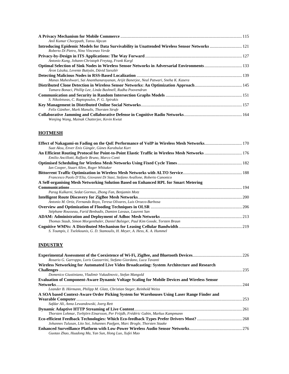| Anil Kumar Chorppath, Tansu Alpcan                                                                                                          |  |
|---------------------------------------------------------------------------------------------------------------------------------------------|--|
| Introducing Epidemic Models for Data Survivability in Unattended Wireless Sensor Networks  121<br>Roberto Di Pietro, Nino Vincenzo Verde    |  |
| Antonio Kung, Johann-Christoph Freytag, Frank Kargl                                                                                         |  |
| Optimal Selection of Sink Nodes in Wireless Sensor Networks in Adversarial Environments 133<br>Áron Lászka, Levente Buttyán, Dávid Szeszlér |  |
| Manas Maheshwari, Sai Ananthanarayanan, Arijit Banerjee, Neal Patwari, Sneha K. Kasera                                                      |  |
| Tamara Bonaci, Phillip Lee, Linda Bushnell, Radha Poovendran                                                                                |  |
| S. Nikoletseas, C. Raptopoulos, P. G. Spirakis                                                                                              |  |
| Felix Günther, Mark Manulis, Thorsten Strufe                                                                                                |  |
| Wenjing Wang, Mainak Chatterjee, Kevin Kwiat                                                                                                |  |

## **HOTMESH**

| Suat Aksu, Enver Enis Güngör, Günes Karabulut Kurt                                              |  |
|-------------------------------------------------------------------------------------------------|--|
| An Efficient Routing Protocol for Point-to-Point Elastic Traffic in Wireless Mesh Networks  176 |  |
| Emilio Ancillotti, Raffaele Bruno, Marco Conti                                                  |  |
|                                                                                                 |  |
| Ian Cooper, Stuart Allen, Roger Whitaker                                                        |  |
|                                                                                                 |  |
| Francesco Paolo D'Elia, Giovanni Di Stasi, Stefano Avallone, Roberto Canonico                   |  |
| A Self-organising Mesh Networking Solution Based on Enhanced RPL for Smart Metering             |  |
|                                                                                                 |  |
| Parag Kulkarni, Sedat Gormus, Zhong Fan, Benjamin Motz                                          |  |
|                                                                                                 |  |
| Antonio M. Ortiz, Fernando Royo, Teresa Olivares, Luis Orozco-Barbosa                           |  |
|                                                                                                 |  |
| Stéphane Rousseau, Farid Benbadis, Damien Lavaux, Laurent San                                   |  |
|                                                                                                 |  |
| Thomas Staub, Simon Morgenthaler, Daniel Balsiger, Paul Kim Goode, Torsten Braun                |  |
|                                                                                                 |  |
| S. Toumpis, I. Tselekounis, G. D. Stamoulis, H. Meyer, A. Hess, K. A. Hummel                    |  |

## **INDUSTRY**

| Rosario G. Garroppo, Loris Gazzarrini, Stefano Giordano, Luca Tavanti                               |     |
|-----------------------------------------------------------------------------------------------------|-----|
| Wireless Networking for Automated Live Video Broadcasting: System Architecture and Research         |     |
|                                                                                                     | 235 |
| Domenico Giustiniano, Vladimir Vukadinovic, Stefan Mangold                                          |     |
| <b>Evaluation of Component-Aware Dynamic Voltage Scaling for Mobile Devices and Wireless Sensor</b> |     |
|                                                                                                     | 244 |
| Leander B. Hörmann, Philipp M. Glatz, Christian Steger, Reinhold Weiss                              |     |
| A SOA based Context-Aware Order Picking System for Warehouses Using Laser Range Finder and          |     |
|                                                                                                     | 253 |
| Safdar Ali, Anna Lewandowski, Joerg Rett                                                            |     |
|                                                                                                     |     |
| Thorsten Lohmar, Torbjörn Einarsson, Per Fröjdh, Frédéric Gabin, Markus Kampmann                    |     |
|                                                                                                     |     |
| Johannes Tulusan, Lito Soi, Johannes Paefgen, Marc Brogle, Thorsten Staake                          |     |
|                                                                                                     |     |
| Guotao Zhao, Huadong Ma, Yan Sun, Hong Luo, Xufei Mao                                               |     |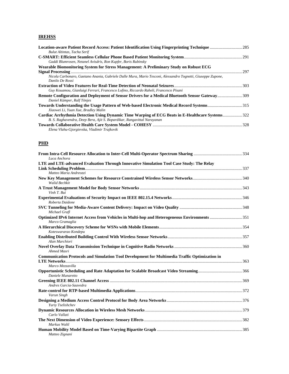#### **IREHSS**

| Bulut Altintas, Tacha Serif                                                                                                      |     |
|----------------------------------------------------------------------------------------------------------------------------------|-----|
|                                                                                                                                  |     |
| Gaddi Blumrosen, Netanel Avisdris, Ron Kupfer, Boris Rubinsky                                                                    |     |
| Wearable Biomonitoring System for Stress Management: A Preliminary Study on Robust ECG                                           |     |
|                                                                                                                                  | 297 |
| Nicola Carbonaro, Gaetano Anania, Gabriele Dalle Mura, Mario Tesconi, Alessandro Tognetti, Giuseppe Zupone,<br>Danilo De Rossi   |     |
|                                                                                                                                  |     |
| Guy Kouamou, Gianluigi Ferrari, Francesco Lofino, Riccardo Raheli, Francesco Pisani                                              |     |
| Remote Configuration and Deployment of Sensor Drivers for a Medical Bluetooth Sensor Gateway309<br>Daniel Kümper, Ralf Tönjes    |     |
| Towards Understanding the Usage Pattern of Web-based Electronic Medical Record Systems315<br>Xiaowei Li, Yuan Xue, Bradley Malin |     |
|                                                                                                                                  |     |
| B. S. Raghavendra, Deep Bera, Ajit S. Bopardikar, Rangavittal Narayanan                                                          |     |
| Elena Vlahu-Gjorgievska, Vladimir Trajkovik                                                                                      |     |

### **PHD**

| Luca Anchora                                                                                                    |  |
|-----------------------------------------------------------------------------------------------------------------|--|
| LTE and LTE-advanced Evaluation Through Innovative Simulation Tool Case Study: The Relay                        |  |
| Matteo Maria Andreozzi                                                                                          |  |
| <b>Walid Bechkit</b>                                                                                            |  |
| Vinh T. Bui                                                                                                     |  |
| Roberta Daidone                                                                                                 |  |
| Michael Grafl                                                                                                   |  |
| Optimized IPv6 Internet Access from Vehicles in Multi-hop and Heterogeneous Environments 351<br>Marco Gramaglia |  |
| Koteswararao Kondepu                                                                                            |  |
| Alan Marchiori                                                                                                  |  |
| Ahmed Masri                                                                                                     |  |
| Communication Protocols and Simulation Tool Development for Multimedia Traffic Optimization in                  |  |
| Marco Mezzavilla                                                                                                |  |
| Daniele Munaretto                                                                                               |  |
| Andres Garcia-Saavedra                                                                                          |  |
| Varun Singh                                                                                                     |  |
| Yuriy Tselishchev                                                                                               |  |
| Carlo Vallati                                                                                                   |  |
| Markus Waltl                                                                                                    |  |
| Matteo Zignani                                                                                                  |  |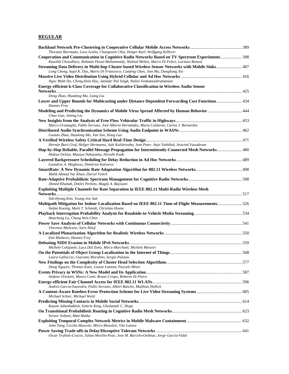#### **REGULAR**

| Thorsten Biermann, Luca Scalia, Changsoon Choi, Holger Karl, Wolfgang Kellerer<br><b>Cooperation and Communication in Cognitive Radio Networks Based on TV Spectrum Experiments 398</b>     |  |
|---------------------------------------------------------------------------------------------------------------------------------------------------------------------------------------------|--|
| Kaushik Chowdhury, Rahman Doost-Mohammady, Waleed Meleis, Marco Di Felice, Luciano Bononi                                                                                                   |  |
| 407 Streaming Data Delivery in Multi-hop Cluster-based Wireless Sensor Networks with Mobile Sinks 407<br>Long Cheng, Sajal K. Das, Mario Di Francesco, Canfeng Chen, Jian Ma, Dongliang Xie |  |
|                                                                                                                                                                                             |  |
| Ngoc Minh Do, Cheng-Hsin Hsu, Jatinder Pal Singh, Nalini Venkatasubramanian                                                                                                                 |  |
| Energy-efficient k-Class Coverage for Collaborative Classification in Wireless Audio Sensor                                                                                                 |  |
| Dong Zhao, Huadong Ma, Liang Liu                                                                                                                                                            |  |
| Hannes Frey                                                                                                                                                                                 |  |
| Modeling and Predicting the Dynamics of Mobile Virus Spread Affected by Human Behavior  444<br>Chao Gao, Jiming Liu                                                                         |  |
| Marco Gramaglia, Pablo Serrano, José Alberto Hernández, Maria Calderon, Carlos J. Bernardos                                                                                                 |  |
| Guotao Zhao, Huadong Ma, Yan Sun, Hong Luo                                                                                                                                                  |  |
|                                                                                                                                                                                             |  |
| Hernán Baró Graf, Holger Hermanns, Juhi Kulshrestha, Jens Peter, Anjo Vahldiek, Aravind Vasudevan                                                                                           |  |
| 180-Hop-by-Hop Reliable, Parallel Message Propagation for Intermittently-Connected Mesh Networks 480<br>Hideya Ochiai, Masaya Nakayama, Hiroshi Esaki                                       |  |
| Leandros A. Maglaras, Dimitrios Katsaros                                                                                                                                                    |  |
| Malik Ahmad Yar Khan, Darryl Veitch                                                                                                                                                         |  |
| Ahmed Khattab, Dmitri Perkins, Magdy A. Bayoumi                                                                                                                                             |  |
| Exploiting Multiple Channels for Rate Separation in IEEE 802.11 Multi-Radio Wireless Mesh                                                                                                   |  |
|                                                                                                                                                                                             |  |
| Sok-Hyong Kim, Young-Joo Suh                                                                                                                                                                |  |
| Stefan Koenig, Mark T. Schmidt, Christian Hoene                                                                                                                                             |  |
| Hancheng Lu, Chang Wen Chen                                                                                                                                                                 |  |
| Vincenzo Mancuso, Sara Alouf                                                                                                                                                                |  |
|                                                                                                                                                                                             |  |
| Emi Mathews, Hannes Frey                                                                                                                                                                    |  |
| Michele Colajanni, Luca Dal Zotto, Mirco Marchetti, Michele Messori                                                                                                                         |  |
| Laura Galluccio, Giacomo Morabito, Sergio Palazzo                                                                                                                                           |  |
|                                                                                                                                                                                             |  |
| Dang Nguyen, Thomas Kunz, Louise Lamont, Pascale Minet                                                                                                                                      |  |
| Stefano Ortolani, Mauro Conti, Bruno Crispo, Roberto Di Pietro                                                                                                                              |  |
| -<br>Andres Garcia-Saavedra, Pablo Serrano, Albert Banchs, Matthias Hollick                                                                                                                 |  |
| Michael Schier, Michael Welzl                                                                                                                                                               |  |
| Kazem Jahanbakhsh, Valerie King, Gholamali C. Shoja                                                                                                                                         |  |
|                                                                                                                                                                                             |  |
| Soroor Soltani, Matt Mutka                                                                                                                                                                  |  |
| John Tang, Cecilia Mascolo, Mirco Musolesi, Vito Latora                                                                                                                                     |  |
| Oscar Trullols-Cruces, Julian Morillo-Pozo, Jose M. Barcelo-Ordinas, Jorge Garcia-Vidal                                                                                                     |  |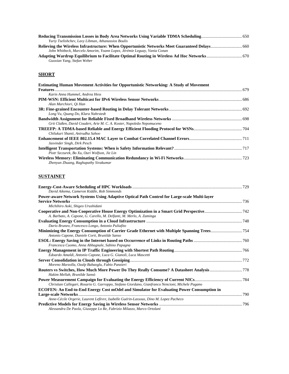| Yuriy Tselishchev, Lavy Libman, Athanassios Boulis                      |  |
|-------------------------------------------------------------------------|--|
|                                                                         |  |
| John Whitbeck, Marcelo Amorim, Yoann Lopez, Jérémie Leguay, Vania Conan |  |
| Guoxian Yang, Stefan Weber                                              |  |

## **SHORT**

| <b>Estimating Human Movement Activities for Opportunistic Networking: A Study of Movement</b> |  |
|-----------------------------------------------------------------------------------------------|--|
|                                                                                               |  |
| Karin Anna Hummel, Andrea Hess                                                                |  |
|                                                                                               |  |
| Alan Marchiori, Qi Han                                                                        |  |
|                                                                                               |  |
| Long Vu, Quang Do, Klara Nahrstedt                                                            |  |
|                                                                                               |  |
| Grit Claßen, David Coudert, Arie M. C. A. Koster, Napoleão Nepomuceno                         |  |
|                                                                                               |  |
| Chilukuri Shanti, Anirudha Sahoo                                                              |  |
|                                                                                               |  |
| Jasvinder Singh, Dirk Pesch                                                                   |  |
|                                                                                               |  |
| Piotr Szczurek, Bo Xu, Ouri Wolfson, Jie Lin                                                  |  |
|                                                                                               |  |
| Zhenyun Zhuang, Raghupathy Sivakumar                                                          |  |

## **SUSTAINET**

| David Aikema, Cameron Kiddle, Rob Simmonds                                                       |  |
|--------------------------------------------------------------------------------------------------|--|
| Power-aware Network Systems Using Adaptive Optical Path Control for Large-scale Multi-layer      |  |
|                                                                                                  |  |
| Michihiro Aoki, Shigeo Urushidani                                                                |  |
| A. Barbato, A. Capone, G. Carello, M. Delfanti, M. Merlo, A. Zaminga                             |  |
|                                                                                                  |  |
| Dario Bruneo, Francesco Longo, Antonio Puliafito                                                 |  |
| Antonio Capone, Daniele Corti, Brunilde Sanso                                                    |  |
|                                                                                                  |  |
| Francesca Cuomo, Anna Abbagnale, Sabino Papagna                                                  |  |
|                                                                                                  |  |
| Edoardo Amaldi, Antonio Capone, Luca G. Gianoli, Luca Mascetti                                   |  |
|                                                                                                  |  |
| Moreno Marzolla, Ozalp Babaoglu, Fabio Panzieri                                                  |  |
| Hakim Mellah, Brunilde Sansò                                                                     |  |
|                                                                                                  |  |
| Christian Callegari, Rosario G. Garroppo, Stefano Giordano, Gianfranco Nencioni, Michele Pagano  |  |
| <b>ECOFEN: An End-to-End Energy Cost mOdel and Simulator for Evaluating Power Consumption in</b> |  |
|                                                                                                  |  |
| Anne-Cécile Orgerie, Laurent Lefèvre, Isabelle Guérin-Lassous, Dino M. Lopez Pacheco             |  |
|                                                                                                  |  |
| Alessandra De Paola, Giuseppe Lo Re, Fabrizio Milazzo, Marco Ortolani                            |  |